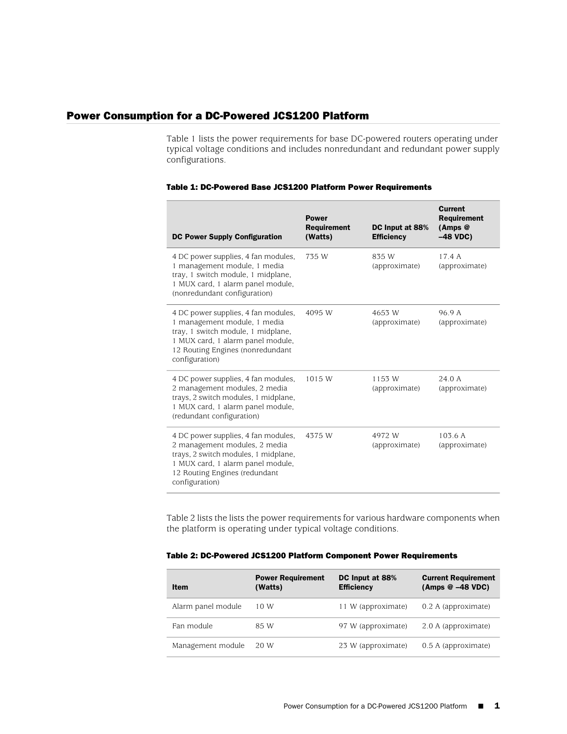## Power Consumption for a DC-Powered JCS1200 Platform

[Table 1](#page-0-0) lists the power requirements for base DC-powered routers operating under typical voltage conditions and includes nonredundant and redundant power supply configurations.

| <b>DC Power Supply Configuration</b>                                                                                                                                                                 | <b>Power</b><br><b>Requirement</b><br>(Watts) | DC Input at 88%<br><b>Efficiency</b> | <b>Current</b><br><b>Requirement</b><br>$(Amps \; \mathcal{Q})$<br>$-48$ VDC) |
|------------------------------------------------------------------------------------------------------------------------------------------------------------------------------------------------------|-----------------------------------------------|--------------------------------------|-------------------------------------------------------------------------------|
| 4 DC power supplies, 4 fan modules,<br>1 management module, 1 media<br>tray, 1 switch module, 1 midplane,<br>1 MUX card, 1 alarm panel module,<br>(nonredundant configuration)                       | 735 W                                         | 835 W<br>(approximate)               | 17.4A<br>(approximate)                                                        |
| 4 DC power supplies, 4 fan modules,<br>1 management module, 1 media<br>tray, 1 switch module, 1 midplane,<br>1 MUX card, 1 alarm panel module,<br>12 Routing Engines (nonredundant<br>configuration) | 4095 W                                        | 4653 W<br>(approximate)              | 96.9 A<br>(approximate)                                                       |
| 4 DC power supplies, 4 fan modules,<br>2 management modules, 2 media<br>trays, 2 switch modules, 1 midplane,<br>1 MUX card, 1 alarm panel module,<br>(redundant configuration)                       | 1015 W                                        | 1153 W<br>(approximate)              | 24.0A<br>(approximate)                                                        |
| 4 DC power supplies, 4 fan modules,<br>2 management modules, 2 media<br>trays, 2 switch modules, 1 midplane,<br>1 MUX card, 1 alarm panel module,<br>12 Routing Engines (redundant<br>configuration) | 4375 W                                        | 4972 W<br>(approximate)              | 103.6A<br>(approximate)                                                       |

## <span id="page-0-0"></span>Table 1: DC-Powered Base JCS1200 Platform Power Requirements

<span id="page-0-1"></span>[Table 2](#page-0-1) lists the lists the power requirements for various hardware components when the platform is operating under typical voltage conditions.

## Table 2: DC-Powered JCS1200 Platform Component Power Requirements

| Item               | <b>Power Requirement</b><br>(Watts) | DC Input at 88%<br><b>Efficiency</b> | <b>Current Requirement</b><br>$(Amps \tQ -48 VDC)$ |
|--------------------|-------------------------------------|--------------------------------------|----------------------------------------------------|
| Alarm panel module | 10 W                                | 11 W (approximate)                   | 0.2 A (approximate)                                |
| Fan module         | 85 W                                | 97 W (approximate)                   | 2.0 A (approximate)                                |
| Management module  | 20 W                                | 23 W (approximate)                   | 0.5 A (approximate)                                |